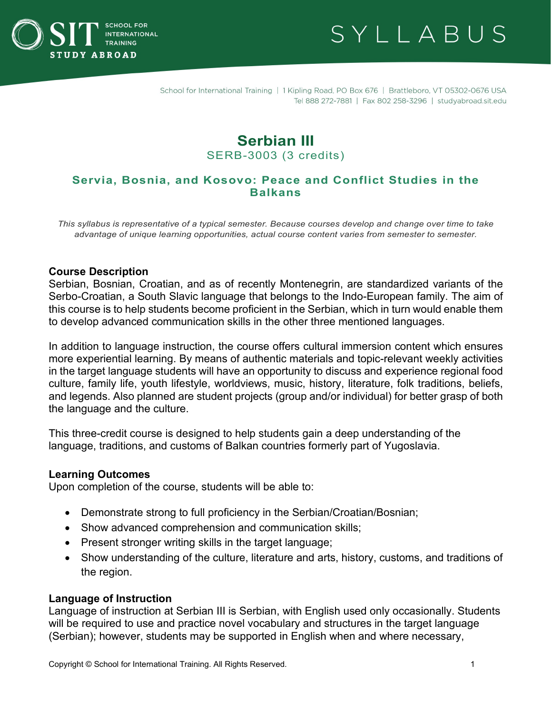



# **Serbian III** SERB-3003 (3 credits)

## **Servia, Bosnia, and Kosovo: Peace and Conflict Studies in the Balkans**

*This syllabus is representative of a typical semester. Because courses develop and change over time to take advantage of unique learning opportunities, actual course content varies from semester to semester.*

#### **Course Description**

Serbian, Bosnian, Croatian, and as of recently Montenegrin, are standardized variants of the Serbo-Croatian, a South Slavic language that belongs to the Indo-European family. The aim of this course is to help students become proficient in the Serbian, which in turn would enable them to develop advanced communication skills in the other three mentioned languages.

In addition to language instruction, the course offers cultural immersion content which ensures more experiential learning. By means of authentic materials and topic-relevant weekly activities in the target language students will have an opportunity to discuss and experience regional food culture, family life, youth lifestyle, worldviews, music, history, literature, folk traditions, beliefs, and legends. Also planned are student projects (group and/or individual) for better grasp of both the language and the culture.

This three-credit course is designed to help students gain a deep understanding of the language, traditions, and customs of Balkan countries formerly part of Yugoslavia.

#### **Learning Outcomes**

Upon completion of the course, students will be able to:

- Demonstrate strong to full proficiency in the Serbian/Croatian/Bosnian;
- Show advanced comprehension and communication skills;
- Present stronger writing skills in the target language;
- Show understanding of the culture, literature and arts, history, customs, and traditions of the region.

#### **Language of Instruction**

Language of instruction at Serbian III is Serbian, with English used only occasionally. Students will be required to use and practice novel vocabulary and structures in the target language (Serbian); however, students may be supported in English when and where necessary,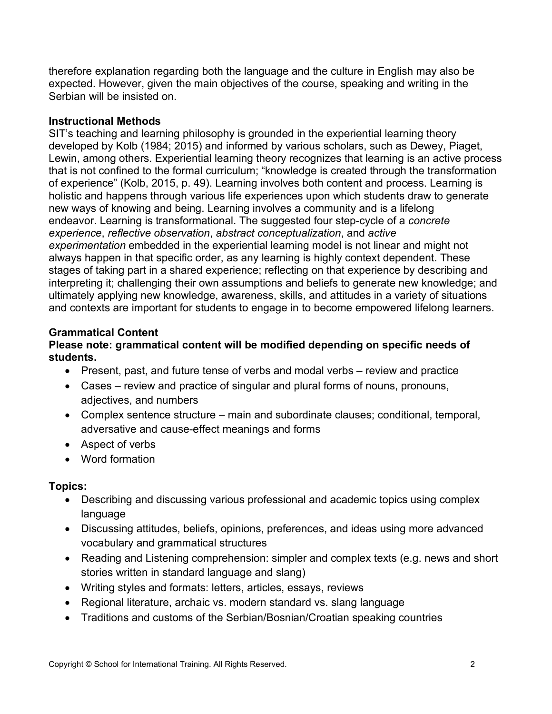therefore explanation regarding both the language and the culture in English may also be expected. However, given the main objectives of the course, speaking and writing in the Serbian will be insisted on.

### **Instructional Methods**

SIT's teaching and learning philosophy is grounded in the experiential learning theory developed by Kolb (1984; 2015) and informed by various scholars, such as Dewey, Piaget, Lewin, among others. Experiential learning theory recognizes that learning is an active process that is not confined to the formal curriculum; "knowledge is created through the transformation of experience" (Kolb, 2015, p. 49). Learning involves both content and process. Learning is holistic and happens through various life experiences upon which students draw to generate new ways of knowing and being. Learning involves a community and is a lifelong endeavor. Learning is transformational. The suggested four step-cycle of a *concrete experience*, *reflective observation*, *abstract conceptualization*, and *active experimentation* embedded in the experiential learning model is not linear and might not always happen in that specific order, as any learning is highly context dependent. These stages of taking part in a shared experience; reflecting on that experience by describing and interpreting it; challenging their own assumptions and beliefs to generate new knowledge; and ultimately applying new knowledge, awareness, skills, and attitudes in a variety of situations and contexts are important for students to engage in to become empowered lifelong learners.

## **Grammatical Content**

### **Please note: grammatical content will be modified depending on specific needs of students.**

- Present, past, and future tense of verbs and modal verbs review and practice
- Cases review and practice of singular and plural forms of nouns, pronouns, adjectives, and numbers
- Complex sentence structure main and subordinate clauses; conditional, temporal, adversative and cause-effect meanings and forms
- Aspect of verbs
- Word formation

## **Topics:**

- Describing and discussing various professional and academic topics using complex language
- Discussing attitudes, beliefs, opinions, preferences, and ideas using more advanced vocabulary and grammatical structures
- Reading and Listening comprehension: simpler and complex texts (e.g. news and short stories written in standard language and slang)
- Writing styles and formats: letters, articles, essays, reviews
- Regional literature, archaic vs. modern standard vs. slang language
- Traditions and customs of the Serbian/Bosnian/Croatian speaking countries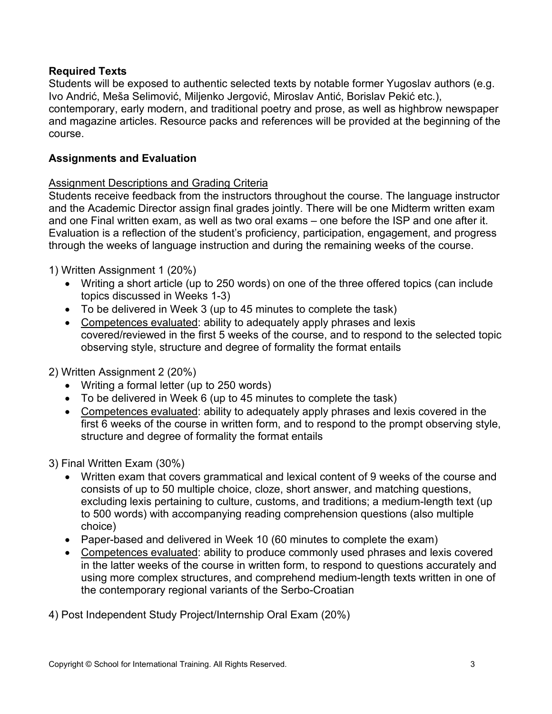### **Required Texts**

Students will be exposed to authentic selected texts by notable former Yugoslav authors (e.g. Ivo Andrić, Meša Selimović, Miljenko Jergović, Miroslav Antić, Borislav Pekić etc.), contemporary, early modern, and traditional poetry and prose, as well as highbrow newspaper and magazine articles. Resource packs and references will be provided at the beginning of the course.

### **Assignments and Evaluation**

### Assignment Descriptions and Grading Criteria

Students receive feedback from the instructors throughout the course. The language instructor and the Academic Director assign final grades jointly. There will be one Midterm written exam and one Final written exam, as well as two oral exams – one before the ISP and one after it. Evaluation is a reflection of the student's proficiency, participation, engagement, and progress through the weeks of language instruction and during the remaining weeks of the course.

1) Written Assignment 1 (20%)

- Writing a short article (up to 250 words) on one of the three offered topics (can include topics discussed in Weeks 1-3)
- To be delivered in Week 3 (up to 45 minutes to complete the task)
- Competences evaluated: ability to adequately apply phrases and lexis covered/reviewed in the first 5 weeks of the course, and to respond to the selected topic observing style, structure and degree of formality the format entails
- 2) Written Assignment 2 (20%)
	- Writing a formal letter (up to 250 words)
	- To be delivered in Week 6 (up to 45 minutes to complete the task)
	- Competences evaluated: ability to adequately apply phrases and lexis covered in the first 6 weeks of the course in written form, and to respond to the prompt observing style, structure and degree of formality the format entails

3) Final Written Exam (30%)

- Written exam that covers grammatical and lexical content of 9 weeks of the course and consists of up to 50 multiple choice, cloze, short answer, and matching questions, excluding lexis pertaining to culture, customs, and traditions; a medium-length text (up to 500 words) with accompanying reading comprehension questions (also multiple choice)
- Paper-based and delivered in Week 10 (60 minutes to complete the exam)
- Competences evaluated: ability to produce commonly used phrases and lexis covered in the latter weeks of the course in written form, to respond to questions accurately and using more complex structures, and comprehend medium-length texts written in one of the contemporary regional variants of the Serbo-Croatian

4) Post Independent Study Project/Internship Oral Exam (20%)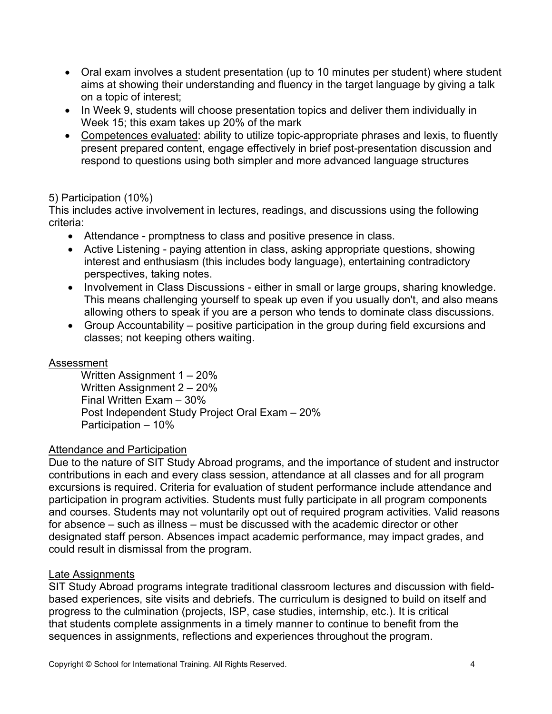- Oral exam involves a student presentation (up to 10 minutes per student) where student aims at showing their understanding and fluency in the target language by giving a talk on a topic of interest;
- In Week 9, students will choose presentation topics and deliver them individually in Week 15; this exam takes up 20% of the mark
- Competences evaluated: ability to utilize topic-appropriate phrases and lexis, to fluently present prepared content, engage effectively in brief post-presentation discussion and respond to questions using both simpler and more advanced language structures

### 5) Participation (10%)

This includes active involvement in lectures, readings, and discussions using the following criteria:

- Attendance promptness to class and positive presence in class.
- Active Listening paying attention in class, asking appropriate questions, showing interest and enthusiasm (this includes body language), entertaining contradictory perspectives, taking notes.
- Involvement in Class Discussions either in small or large groups, sharing knowledge. This means challenging yourself to speak up even if you usually don't, and also means allowing others to speak if you are a person who tends to dominate class discussions.
- Group Accountability positive participation in the group during field excursions and classes; not keeping others waiting.

### Assessment

Written Assignment 1 – 20% Written Assignment 2 – 20% Final Written Exam – 30% Post Independent Study Project Oral Exam – 20% Participation – 10%

### Attendance and Participation

Due to the nature of SIT Study Abroad programs, and the importance of student and instructor contributions in each and every class session, attendance at all classes and for all program excursions is required. Criteria for evaluation of student performance include attendance and participation in program activities. Students must fully participate in all program components and courses. Students may not voluntarily opt out of required program activities. Valid reasons for absence – such as illness – must be discussed with the academic director or other designated staff person. Absences impact academic performance, may impact grades, and could result in dismissal from the program.

### Late Assignments

SIT Study Abroad programs integrate traditional classroom lectures and discussion with fieldbased experiences, site visits and debriefs. The curriculum is designed to build on itself and progress to the culmination (projects, ISP, case studies, internship, etc.). It is critical that students complete assignments in a timely manner to continue to benefit from the sequences in assignments, reflections and experiences throughout the program.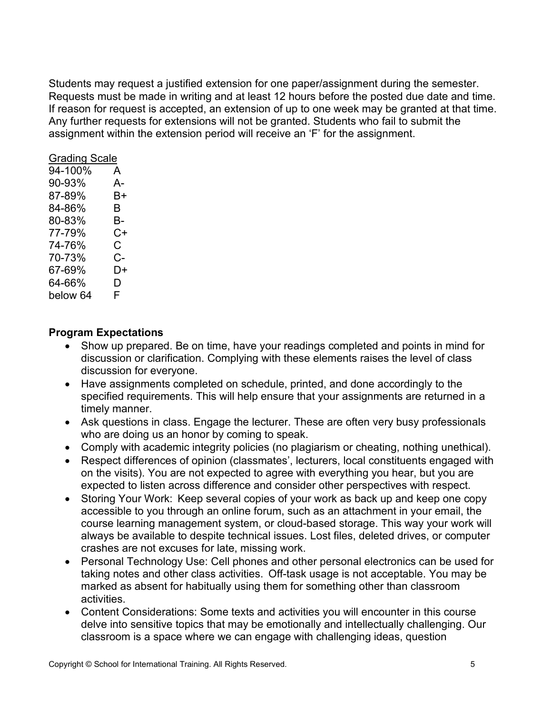Students may request a justified extension for one paper/assignment during the semester. Requests must be made in writing and at least 12 hours before the posted due date and time. If reason for request is accepted, an extension of up to one week may be granted at that time. Any further requests for extensions will not be granted. Students who fail to submit the assignment within the extension period will receive an 'F' for the assignment.

| <b>Grading Scale</b> |    |
|----------------------|----|
| 94-100%              | A  |
| 90-93%               | А- |
| 87-89%               | B+ |
| 84-86%               | В  |
| 80-83%               | В- |
| 77-79%               | C+ |
| 74-76%               | С  |
| 70-73%               | C- |
| 67-69%               | D+ |
| 64-66%               | D  |
| below 64             | F  |

### **Program Expectations**

- Show up prepared. Be on time, have your readings completed and points in mind for discussion or clarification. Complying with these elements raises the level of class discussion for everyone.
- Have assignments completed on schedule, printed, and done accordingly to the specified requirements. This will help ensure that your assignments are returned in a timely manner.
- Ask questions in class. Engage the lecturer. These are often very busy professionals who are doing us an honor by coming to speak.
- Comply with academic integrity policies (no plagiarism or cheating, nothing unethical).
- Respect differences of opinion (classmates', lecturers, local constituents engaged with on the visits). You are not expected to agree with everything you hear, but you are expected to listen across difference and consider other perspectives with respect.
- Storing Your Work: Keep several copies of your work as back up and keep one copy accessible to you through an online forum, such as an attachment in your email, the course learning management system, or cloud-based storage. This way your work will always be available to despite technical issues. Lost files, deleted drives, or computer crashes are not excuses for late, missing work.
- Personal Technology Use: Cell phones and other personal electronics can be used for taking notes and other class activities.  Off-task usage is not acceptable. You may be marked as absent for habitually using them for something other than classroom activities.
- Content Considerations: Some texts and activities you will encounter in this course delve into sensitive topics that may be emotionally and intellectually challenging. Our classroom is a space where we can engage with challenging ideas, question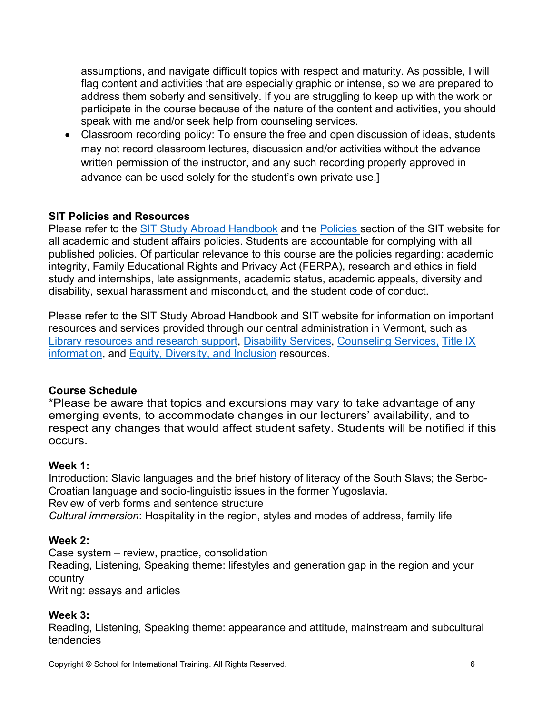assumptions, and navigate difficult topics with respect and maturity. As possible, I will flag content and activities that are especially graphic or intense, so we are prepared to address them soberly and sensitively. If you are struggling to keep up with the work or participate in the course because of the nature of the content and activities, you should speak with me and/or seek help from counseling services.

• Classroom recording policy: To ensure the free and open discussion of ideas, students may not record classroom lectures, discussion and/or activities without the advance written permission of the instructor, and any such recording properly approved in advance can be used solely for the student's own private use.]

## **SIT Policies and Resources**

Please refer to the [SIT Study Abroad Handbook](https://studyabroad.sit.edu/Student-Handbook/) and the [Policies](https://studyabroad.sit.edu/admitted-students/policies/) section of the SIT website for all academic and student affairs policies. Students are accountable for complying with all published policies. Of particular relevance to this course are the policies regarding: academic integrity, Family Educational Rights and Privacy Act (FERPA), research and ethics in field study and internships, late assignments, academic status, academic appeals, diversity and disability, sexual harassment and misconduct, and the student code of conduct.

Please refer to the SIT Study Abroad Handbook and SIT website for information on important resources and services provided through our central administration in Vermont, such as [Library resources and research support,](https://studyabroad.sit.edu/admitted-students/student-resources/) [Disability Services,](https://studyabroad.sit.edu/health-safety-and-well-being/disability-services/) [Counseling Services,](https://studyabroad.sit.edu/health-safety-and-well-being/counseling-and-mental-health/) [Title IX](https://studyabroad.sit.edu/health-safety-and-well-being/sexual-safety-title-ix/)  [information,](https://studyabroad.sit.edu/health-safety-and-well-being/sexual-safety-title-ix/) and [Equity, Diversity, and Inclusion](https://studyabroad.sit.edu/health-safety-and-well-being/social-identity/) resources.

## **Course Schedule**

\*Please be aware that topics and excursions may vary to take advantage of any emerging events, to accommodate changes in our lecturers' availability, and to respect any changes that would affect student safety. Students will be notified if this occurs.

## **Week 1:**

Introduction: Slavic languages and the brief history of literacy of the South Slavs; the Serbo-Croatian language and socio-linguistic issues in the former Yugoslavia. Review of verb forms and sentence structure *Cultural immersion*: Hospitality in the region, styles and modes of address, family life

## **Week 2:**

Case system – review, practice, consolidation Reading, Listening, Speaking theme: lifestyles and generation gap in the region and your country

Writing: essays and articles

## **Week 3:**

Reading, Listening, Speaking theme: appearance and attitude, mainstream and subcultural tendencies

Copyright © School for International Training. All Rights Reserved. 6